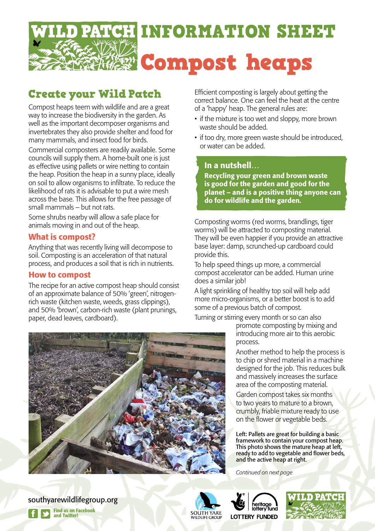

# Create your Wild Patch

Compost heaps teem with wildlife and are a great way to increase the biodiversity in the garden. As well as the important decomposer organisms and invertebrates they also provide shelter and food for many mammals, and insect food for birds.

Commercial composters are readily available. Some councils will supply them. A home-built one is just as effective using pallets or wire netting to contain the heap. Position the heap in a sunny place, ideally on soil to allow organisms to infiltrate. To reduce the likelihood of rats it is advisable to put a wire mesh across the base. This allows for the free passage of small mammals – but not rats.

Some shrubs nearby will allow a safe place for animals moving in and out of the heap.

#### What is compost?

Anything that was recently living will decompose to soil. Composting is an acceleration of that natural process, and produces a soil that is rich in nutrients.

#### How to compost

The recipe for an active compost heap should consist of an approximate balance of 50% 'green', nitrogenrich waste (kitchen waste, weeds, grass clippings), and 50% 'brown', carbon-rich waste (plant prunings, paper, dead leaves, cardboard).

Efficient composting is largely about getting the correct balance. One can feel the heat at the centre of a 'happy' heap. The general rules are:

- if the mixture is too wet and sloppy, more brown waste should be added.
- if too dry, more green waste should be introduced, or water can be added.

#### In a nutshell…

Recycling your green and brown waste is good for the garden and good for the planet – and is a positive thing anyone can do for wildlife and the garden.

Composting worms (red worms, brandlings, tiger worms) will be attracted to composting material. They will be even happier if you provide an attractive base layer: damp, scrunched-up cardboard could provide this.

To help speed things up more, a commercial compost accelerator can be added. Human urine does a similar job!

A light sprinkling of healthy top soil will help add more micro-organisms, or a better boost is to add some of a previous batch of compost.

Turning or stirring every month or so can also

promote composting by mixing and introducing more air to this aerobic process.

Another method to help the process is to chip or shred material in a machine designed for the job. This reduces bulk and massively increases the surface area of the composting material.

Garden compost takes six months to two years to mature to a brown, crumbly, friable mixture ready to use on the flower or vegetable beds.

Left: Pallets are great for building a basic framework to contain your compost heap. This photo shows the mature heap at left, ready to add to vegetable and flower beds, and the active heap at right.

*Continued on next page*







Find us on Facebook and Twitter! southyarewildlifegroup.org